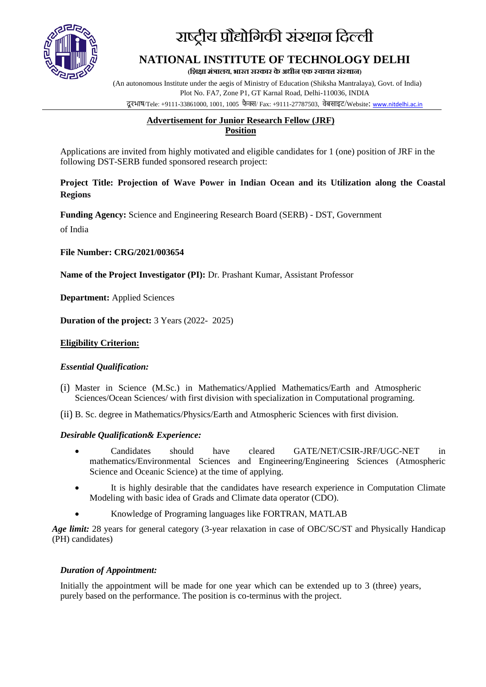

# राष्ट्रीय प्रौद्योगिकी संस्थान गिल्ली

# **NATIONAL INSTITUTE OF TECHNOLOGY DELHI**

(शिक्षा मंत्रालय, भारत सरकार के अधीन एक स्वायत्त संस्थान)

(An autonomous Institute under the aegis of Ministry of Education (Shiksha Mantralaya), Govt. of India) Plot No. FA7, Zone P1, GT Karnal Road, Delhi-110036, INDIA दू रभाष/Tele: +9111-33861000, 1001, 1005 फै क्स/ Fax: +9111-27787503, वेबसाइट/Website: [www.nitdelhi.ac.in](http://www.nitdelhi.ac.in/)

## **Advertisement for Junior Research Fellow (JRF) Position**

Applications are invited from highly motivated and eligible candidates for 1 (one) position of JRF in the following DST-SERB funded sponsored research project:

#### **Project Title: Projection of Wave Power in Indian Ocean and its Utilization along the Coastal Regions**

**Funding Agency:** Science and Engineering Research Board (SERB) - DST, Government of India

**File Number: CRG/2021/003654**

**Name of the Project Investigator (PI):** Dr. Prashant Kumar, Assistant Professor

**Department:** Applied Sciences

**Duration of the project:** 3 Years (2022- 2025)

#### **Eligibility Criterion:**

#### *Essential Qualification:*

(i) Master in Science (M.Sc.) in Mathematics/Applied Mathematics/Earth and Atmospheric Sciences/Ocean Sciences/ with first division with specialization in Computational programing.

(ii) B. Sc. degree in Mathematics/Physics/Earth and Atmospheric Sciences with first division.

#### *Desirable Qualification& Experience:*

- Candidates should have cleared GATE/NET/CSIR-JRF/UGC-NET in mathematics/Environmental Sciences and Engineering/Engineering Sciences (Atmospheric Science and Oceanic Science) at the time of applying.
- It is highly desirable that the candidates have research experience in Computation Climate Modeling with basic idea of Grads and Climate data operator (CDO).
- Knowledge of Programing languages like FORTRAN, MATLAB

*Age limit:* 28 years for general category (3-year relaxation in case of OBC/SC/ST and Physically Handicap (PH) candidates)

#### *Duration of Appointment:*

Initially the appointment will be made for one year which can be extended up to 3 (three) years, purely based on the performance. The position is co-terminus with the project.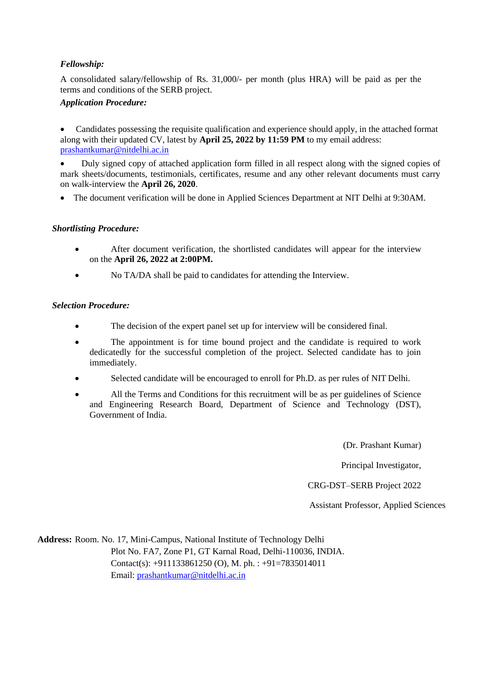### *Fellowship:*

A consolidated salary/fellowship of Rs. 31,000/- per month (plus HRA) will be paid as per the terms and conditions of the SERB project.

#### *Application Procedure:*

• Candidates possessing the requisite qualification and experience should apply, in the attached format along with their updated CV, latest by **April 25, 2022 by 11:59 PM** to my email address: [prashantkumar@nitdelhi.ac.in](mailto:prashantkumar@nitdelhi.ac.in) 

• Duly signed copy of attached application form filled in all respect along with the signed copies of mark sheets/documents, testimonials, certificates, resume and any other relevant documents must carry on walk-interview the **April 26, 2020**.

• The document verification will be done in Applied Sciences Department at NIT Delhi at 9:30AM.

#### *Shortlisting Procedure:*

- After document verification, the shortlisted candidates will appear for the interview on the **April 26, 2022 at 2:00PM.**
- No TA/DA shall be paid to candidates for attending the Interview.

#### *Selection Procedure:*

- The decision of the expert panel set up for interview will be considered final.
- The appointment is for time bound project and the candidate is required to work dedicatedly for the successful completion of the project. Selected candidate has to join immediately.
- Selected candidate will be encouraged to enroll for Ph.D. as per rules of NIT Delhi.
- All the Terms and Conditions for this recruitment will be as per guidelines of Science and Engineering Research Board, Department of Science and Technology (DST), Government of India.

(Dr. Prashant Kumar)

Principal Investigator,

CRG-DST–SERB Project 2022

Assistant Professor, Applied Sciences

**Address:** Room. No. 17, Mini-Campus, National Institute of Technology Delhi Plot No. FA7, Zone P1, GT Karnal Road, Delhi-110036, INDIA. Contact(s): +911133861250 (O), M. ph. : +91=7835014011 Email: [prashantkumar@nitdelhi.ac.in](mailto:prashantkumar@nitdelhi.ac.in)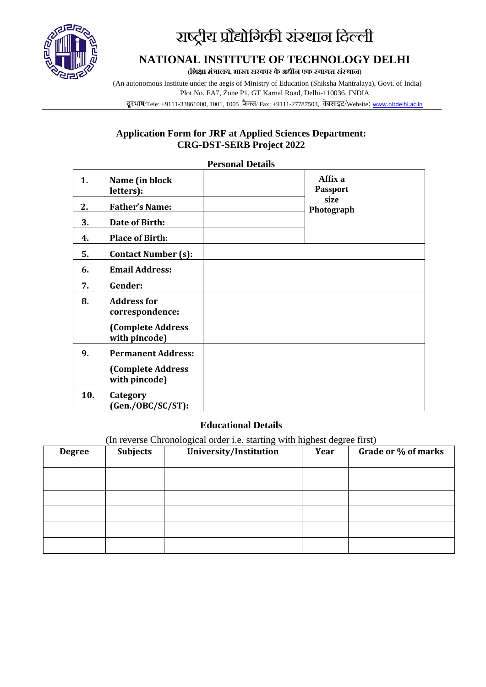

# राष्ट्रीय प्रौद्योगिकी संस्थान गिल्ली

# **NATIONAL INSTITUTE OF TECHNOLOGY DELHI**

**(शिक्षा मंत्रालय, भारत सरकार के अधीन एक स् वायत्त संस् थान)**

(An autonomous Institute under the aegis of Ministry of Education (Shiksha Mantralaya), Govt. of India) Plot No. FA7, Zone P1, GT Karnal Road, Delhi-110036, INDIA दू रभाष/Tele: +9111-33861000, 1001, 1005 फै क्स/ Fax: +9111-27787503, वेबसाइट/Website: [www.nitdelhi.ac.in](http://www.nitdelhi.ac.in/)

## **Application Form for JRF at Applied Sciences Department: CRG-DST-SERB Project 2022**

**Personal Details**

| 1.  | Name (in block<br>letters):               | Affix a<br><b>Passport</b> |
|-----|-------------------------------------------|----------------------------|
| 2.  | <b>Father's Name:</b>                     | size<br>Photograph         |
| 3.  | Date of Birth:                            |                            |
| 4.  | <b>Place of Birth:</b>                    |                            |
| 5.  | <b>Contact Number (s):</b>                |                            |
| 6.  | <b>Email Address:</b>                     |                            |
| 7.  | Gender:                                   |                            |
| 8.  | <b>Address for</b><br>correspondence:     |                            |
|     | <b>(Complete Address</b><br>with pincode) |                            |
| 9.  | <b>Permanent Address:</b>                 |                            |
|     | <b>(Complete Address</b><br>with pincode) |                            |
| 10. | Category<br>(Gen./OBC/SC/ST):             |                            |

### **Educational Details**

(In reverse Chronological order i.e. starting with highest degree first)

| <b>Degree</b> | <b>Subjects</b> | University/Institution | Year | Grade or % of marks |
|---------------|-----------------|------------------------|------|---------------------|
|               |                 |                        |      |                     |
|               |                 |                        |      |                     |
|               |                 |                        |      |                     |
|               |                 |                        |      |                     |
|               |                 |                        |      |                     |